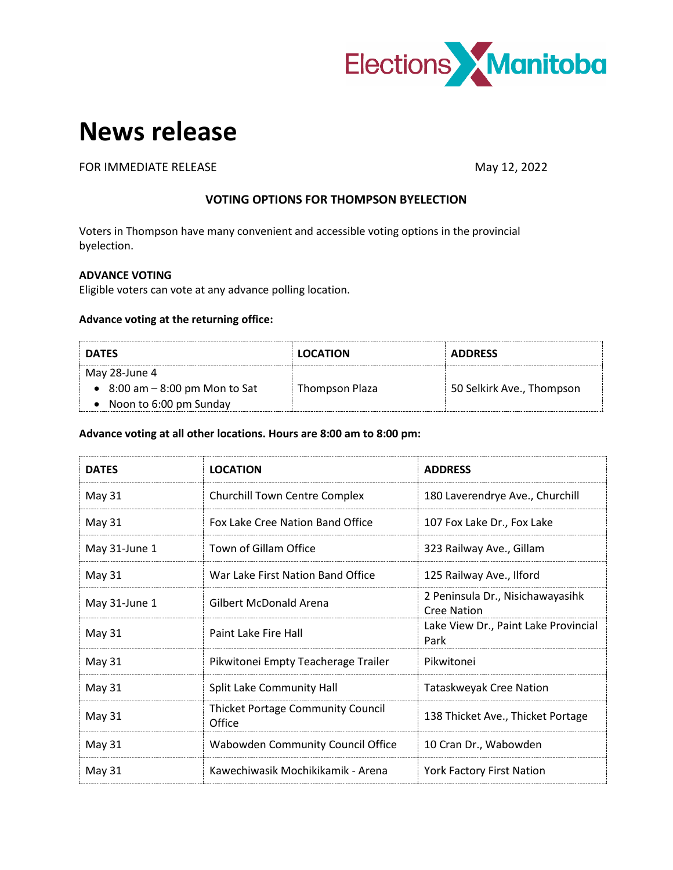

# **News release**

FOR IMMEDIATE RELEASE May 12, 2022

# **VOTING OPTIONS FOR THOMPSON BYELECTION**

Voters in Thompson have many convenient and accessible voting options in the provincial byelection.

# **ADVANCE VOTING**

Eligible voters can vote at any advance polling location.

## **Advance voting at the returning office:**

| <b>DATES</b>                             | <b>LOCATION</b> | <b>ADDRESS</b>            |
|------------------------------------------|-----------------|---------------------------|
| May 28-June 4                            |                 |                           |
| $\bullet$ 8:00 am $-$ 8:00 pm Mon to Sat | Thompson Plaza  | 50 Selkirk Ave., Thompson |
| Noon to 6:00 pm Sunday                   |                 |                           |

#### **Advance voting at all other locations. Hours are 8:00 am to 8:00 pm:**

| <b>DATES</b>  | <b>LOCATION</b>                                    | <b>ADDRESS</b>                                         |
|---------------|----------------------------------------------------|--------------------------------------------------------|
| May 31        | <b>Churchill Town Centre Complex</b>               | 180 Laverendrye Ave., Churchill                        |
| May 31        | Fox Lake Cree Nation Band Office                   | 107 Fox Lake Dr., Fox Lake                             |
| May 31-June 1 | Town of Gillam Office                              | 323 Railway Ave., Gillam                               |
| May 31        | War Lake First Nation Band Office                  | 125 Railway Ave., Ilford                               |
| May 31-June 1 | Gilbert McDonald Arena                             | 2 Peninsula Dr., Nisichawayasihk<br><b>Cree Nation</b> |
| May 31        | Paint Lake Fire Hall                               | Lake View Dr., Paint Lake Provincial<br>Park           |
| May 31        | Pikwitonei Empty Teacherage Trailer                | Pikwitonei                                             |
| May 31        | Split Lake Community Hall                          | Tataskweyak Cree Nation                                |
| May 31        | <b>Thicket Portage Community Council</b><br>Office | 138 Thicket Ave., Thicket Portage                      |
| May 31        | Wabowden Community Council Office                  | 10 Cran Dr., Wabowden                                  |
| May 31        | Kawechiwasik Mochikikamik - Arena                  | <b>York Factory First Nation</b>                       |